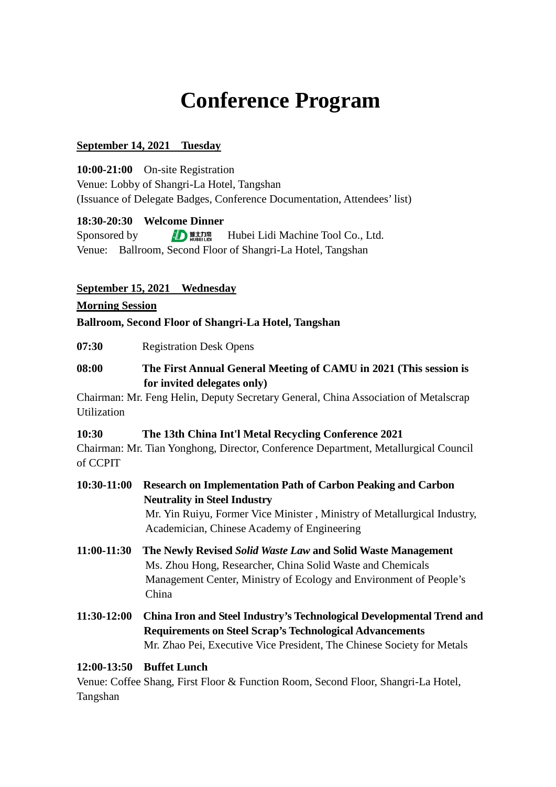# **Conference Program**

## **September 14, 2021 Tuesday**

**10:00-21:00** On-site Registration Venue: Lobby of Shangri-La Hotel, Tangshan (Issuance of Delegate Badges, Conference Documentation, Attendees' list)

## **18:30-20:30 Welcome Dinner**

Sponsored by  $\Box$  **Hubei Lidi Machine Tool Co., Ltd.** Venue: Ballroom, Second Floor of Shangri-La Hotel, Tangshan

## **September 15, 2021 Wednesday**

#### **Morning Session**

## **Ballroom, Second Floor of Shangri-La Hotel, Tangshan**

**07:30** Registration Desk Opens

## **08:00 The First Annual General Meeting of CAMU in 2021 (This session is for invited delegates only)**

Chairman: Mr. Feng Helin, Deputy Secretary General, China Association of Metalscrap Utilization

#### **10:30 The 13th China Int'l Metal Recycling Conference 2021**

Chairman: Mr. Tian Yonghong, Director, Conference Department, Metallurgical Council of CCPIT

## **10:30-11:00 Research on Implementation Path of Carbon Peaking and Carbon Neutrality in Steel Industry** Mr. Yin Ruiyu, Former Vice Minister , Ministry of Metallurgical Industry,

Academician, Chinese Academy of Engineering

- **11:00-11:30 The Newly Revised** *Solid Waste Law* **and Solid Waste Management**  Ms. Zhou Hong, Researcher, China Solid Waste and Chemicals Management Center, Ministry of Ecology and Environment of People's China
- **11:30-12:00 China Iron and Steel Industry's Technological Developmental Trend and Requirements on Steel Scrap's Technological Advancements** Mr. Zhao Pei, Executive Vice President, The Chinese Society for Metals

## **12:00-13:50 Buffet Lunch**

Venue: Coffee Shang, First Floor & Function Room, Second Floor, Shangri-La Hotel, Tangshan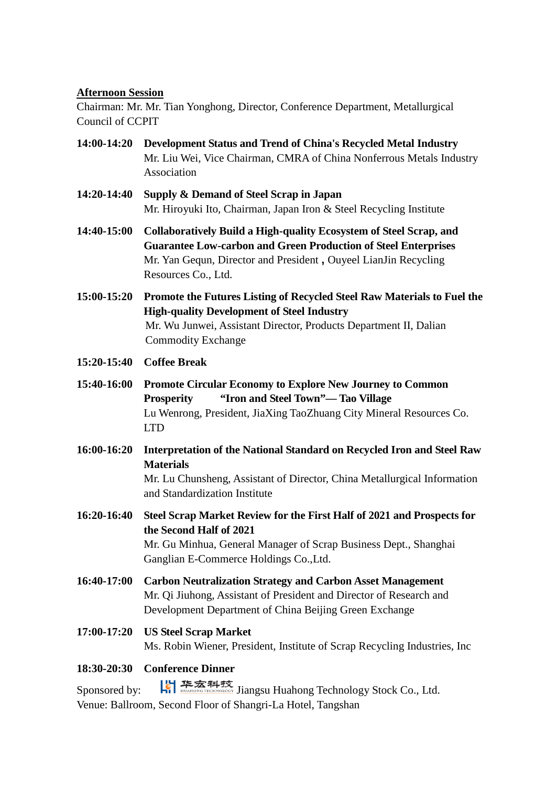## **Afternoon Session**

Chairman: Mr. Mr. Tian Yonghong, Director, Conference Department, Metallurgical Council of CCPIT

- **14:00-14:20 Development Status and Trend of China's Recycled Metal Industry** Mr. Liu Wei, Vice Chairman, CMRA of China Nonferrous Metals Industry Association
- **14:20-14:40 Supply & Demand of Steel Scrap in Japan** Mr. Hiroyuki Ito, Chairman, Japan Iron & Steel Recycling Institute
- **14:40-15:00 Collaboratively Build a High-quality Ecosystem of Steel Scrap, and Guarantee Low-carbon and Green Production of Steel Enterprises** Mr. Yan Gequn, Director and President **,** Ouyeel LianJin Recycling Resources Co., Ltd.
- **15:00-15:20 Promote the Futures Listing of Recycled Steel Raw Materials to Fuel the High-quality Development of Steel Industry** Mr. Wu Junwei, Assistant Director, Products Department II, Dalian Commodity Exchange
- **15:20-15:40 Coffee Break**
- **15:40-16:00 Promote Circular Economy to Explore New Journey to Common Prosperity "Iron and Steel Town"— Tao Village** Lu Wenrong, President, JiaXing TaoZhuang City Mineral Resources Co. LTD
- **16:00-16:20 Interpretation of the National Standard on Recycled Iron and Steel Raw Materials** Mr. Lu Chunsheng, Assistant of Director, China Metallurgical Information and Standardization Institute

**16:20-16:40 Steel Scrap Market Review for the First Half of 2021 and Prospects for the Second Half of 2021** Mr. Gu Minhua, General Manager of Scrap Business Dept., Shanghai Ganglian E-Commerce Holdings Co.,Ltd.

- **16:40-17:00 Carbon Neutralization Strategy and Carbon Asset Management** Mr. Qi Jiuhong, Assistant of President and Director of Research and Development Department of China Beijing Green Exchange
- **17:00-17:20 US Steel Scrap Market** Ms. Robin Wiener, President, Institute of Scrap Recycling Industries, Inc

# **18:30-20:30 Conference Dinner**

Sponsored by:  $\left|\bigcup_{n=1}^{N} \frac{1}{N} \right| \frac{1}{N}$  substanting Stock Co., Ltd. Venue: Ballroom, Second Floor of Shangri-La Hotel, Tangshan